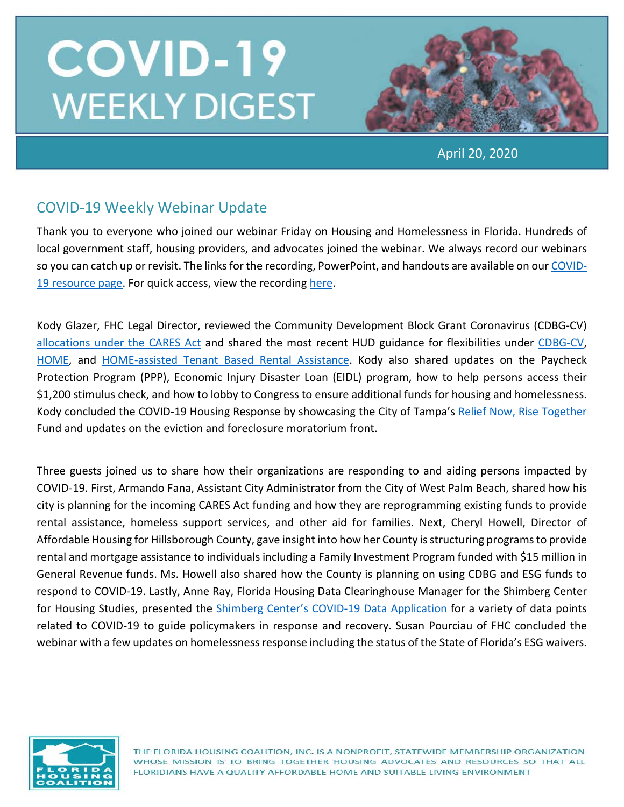

April 20, 2020

## COVID-19 Weekly Webinar Update

Thank you to everyone who joined our webinar Friday on Housing and Homelessness in Florida. Hundreds of local government staff, housing providers, and advocates joined the webinar. We always record our webinars so you can catch up or revisit. The links for the recording, PowerPoint, and handouts are available on our [COVID-](https://www.flhousing.org/covid-19-housing-related-resources/)[19 resource page.](https://www.flhousing.org/covid-19-housing-related-resources/) For quick access, view the recording [here.](https://vimeo.com/408936282)

Kody Glazer, FHC Legal Director, reviewed the Community Development Block Grant Coronavirus (CDBG-CV) allocations [under the CARES Act](https://www.hud.gov/program_offices/comm_planning/budget/fy20/) and shared the most recent HUD guidance for flexibilities under [CDBG-CV,](https://files.hudexchange.info/resources/documents/CARES-Act-Flexibilities-CDBG-Funds-Used-Support-Coronavirus-Response.pdf?utm_source=NLIHC+All+Subscribers&utm_campaign=d03ead5a31-EMAIL_CAMPAIGN_2020_04_02_06_44_COPY_01&utm_medium=email&utm_term=) [HOME,](https://www.ncsha.org/wp-content/uploads/Availability-of-Waivers-and-Suspensions-of-the-HOME-Program-Requirements-COVID-19.pdf) and [HOME-assisted Tenant Based Rental Assistance.](https://www.ncsha.org/wp-content/uploads/Suspensions-and-Waivers-to-Facilitate-Use-of-HOME-Assisted-TBRA-COVID-19.pdf) Kody also shared updates on the Paycheck Protection Program (PPP), Economic Injury Disaster Loan (EIDL) program, how to help persons access their \$1,200 stimulus check, and how to lobby to Congress to ensure additional funds for housing and homelessness. Kody concluded the COVID-19 Housing Response by showcasing the City of Tampa's [Relief Now, Rise Together](https://www.tampagov.net/relief-now) Fund and updates on the eviction and foreclosure moratorium front.

Three guests joined us to share how their organizations are responding to and aiding persons impacted by COVID-19. First, Armando Fana, Assistant City Administrator from the City of West Palm Beach, shared how his city is planning for the incoming CARES Act funding and how they are reprogramming existing funds to provide rental assistance, homeless support services, and other aid for families. Next, Cheryl Howell, Director of Affordable Housing for Hillsborough County, gave insight into how her County is structuring programs to provide rental and mortgage assistance to individuals including a Family Investment Program funded with \$15 million in General Revenue funds. Ms. Howell also shared how the County is planning on using CDBG and ESG funds to respond to COVID-19. Lastly, Anne Ray, Florida Housing Data Clearinghouse Manager for the Shimberg Center for Housing Studies, presented the [Shimberg Center's COVID-19 Data Application](http://www.shimberg.ufl.edu/covid-19) for a variety of data points related to COVID-19 to guide policymakers in response and recovery. Susan Pourciau of FHC concluded the webinar with a few updates on homelessness response including the status of the State of Florida's ESG waivers.

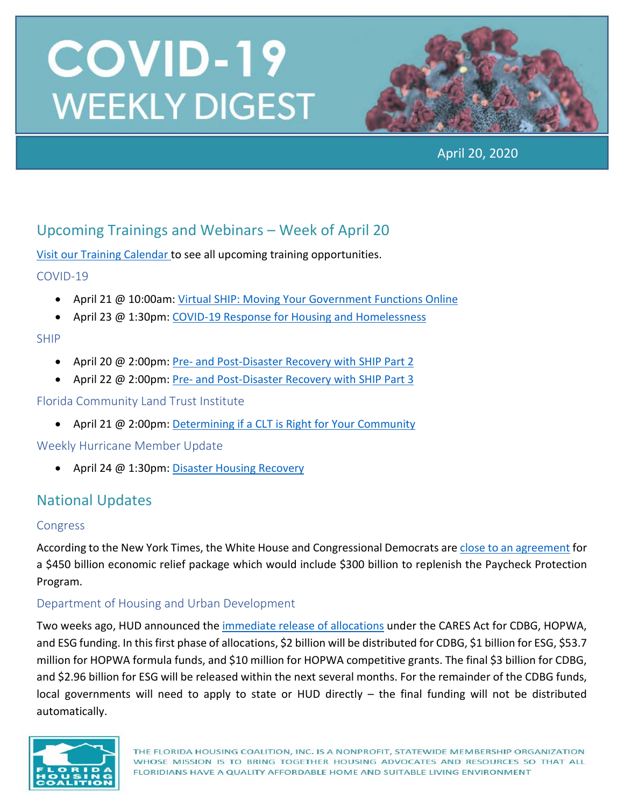

April 20, 2020

## Upcoming Trainings and Webinars – Week of April 20

[Visit our Training Calendar](https://www.flhousing.org/events/) to see all upcoming training opportunities.

COVID-19

- April 21 @ 10:00am: [Virtual SHIP: Moving Your Government Functions Online](https://register.gotowebinar.com/register/323416253945745676)
- April 23 @ 1:30pm: [COVID-19 Response for Housing and Homelessness](https://register.gotowebinar.com/register/4601024460014288910)

### SHIP

- April 20 @ 2:00pm: Pre- [and Post-Disaster Recovery with SHIP Part 2](https://register.gotowebinar.com/register/5970069268672976907)
- April 22 @ 2:00pm: Pre- [and Post-Disaster Recovery with SHIP Part 3](https://register.gotowebinar.com/register/3222575528325867787)

Florida Community Land Trust Institute

• April 21 @ 2:00pm: [Determining if a CLT is Right for Your Community](https://register.gotowebinar.com/register/7070899205492034049)

Weekly Hurricane Member Update

• April 24 @ 1:30pm: [Disaster Housing Recovery](https://register.gotowebinar.com/register/2434976656377067275)

## National Updates

#### Congress

According to the New York Times, the White House and Congressional Democrats ar[e close to an agreement](https://www.nytimes.com/2020/04/19/us/politics/coronavirus-small-business-aid-congress.html) for a \$450 billion economic relief package which would include \$300 billion to replenish the Paycheck Protection Program.

### Department of Housing and Urban Development

Two weeks ago, HUD announced the *immediate release of allocations* under the CARES Act for CDBG, HOPWA, and ESG funding. In this first phase of allocations, \$2 billion will be distributed for CDBG, \$1 billion for ESG, \$53.7 million for HOPWA formula funds, and \$10 million for HOPWA competitive grants. The final \$3 billion for CDBG, and \$2.96 billion for ESG will be released within the next several months. For the remainder of the CDBG funds, local governments will need to apply to state or HUD directly – the final funding will not be distributed automatically.

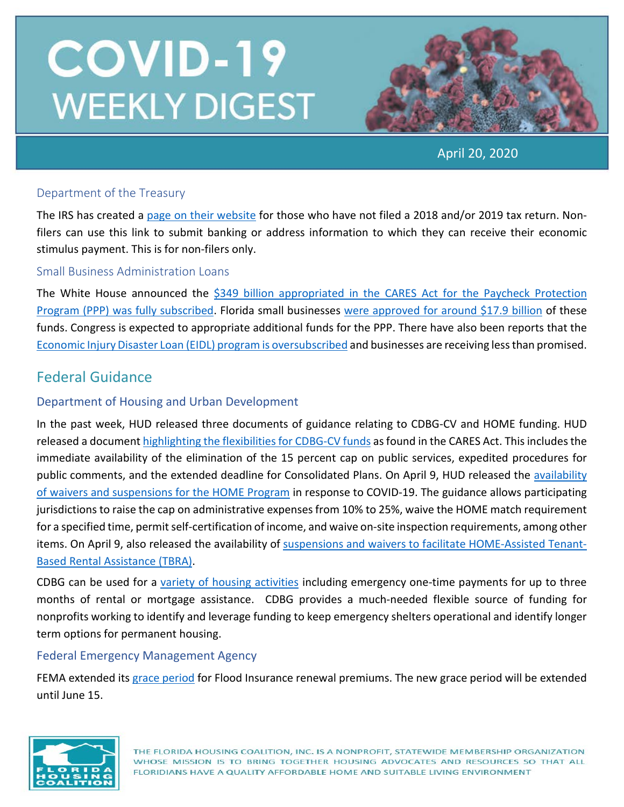

April 20, 2020

#### Department of the Treasury

The IRS has created a [page on their website](https://www.irs.gov/coronavirus/non-filers-enter-payment-info-here) for those who have not filed a 2018 and/or 2019 tax return. Nonfilers can use this link to submit banking or address information to which they can receive their economic stimulus payment. This is for non-filers only.

#### Small Business Administration Loans

The White House announced the [\\$349 billion appropriated in the CARES Act for the Paycheck Protection](https://www.washingtonpost.com/us-policy/2020/04/16/congress-coronavirus-small-business-trump/)  [Program \(PPP\) was fully subscribed.](https://www.washingtonpost.com/us-policy/2020/04/16/congress-coronavirus-small-business-trump/) Florida small businesses [were approved for around \\$17.9 billion](https://www.inc.com/brit-morse/ppp-money-loan-details-small-business.html) of these funds. Congress is expected to appropriate additional funds for the PPP. There have also been reports that the [Economic Injury Disaster Loan \(EIDL\) program is oversubscribed](https://www.politico.com/news/2020/04/10/small-business-loan-effort-less-generous-179592) and businesses are receiving less than promised.

### Federal Guidance

#### Department of Housing and Urban Development

In the past week, HUD released three documents of guidance relating to CDBG-CV and HOME funding. HUD released a document [highlighting the flexibilities for CDBG-CV funds](https://files.hudexchange.info/resources/documents/CARES-Act-Flexibilities-CDBG-Funds-Used-Support-Coronavirus-Response.pdf?utm_source=NLIHC+All+Subscribers&utm_campaign=d03ead5a31-EMAIL_CAMPAIGN_2020_04_02_06_44_COPY_01&utm_medium=email&utm_term=) as found in the CARES Act. This includes the immediate availability of the elimination of the 15 percent cap on public services, expedited procedures for public comments, and the extended deadline for Consolidated Plans. On April 9, HUD released the availability [of waivers and suspensions for the HOME Program](https://files.hudexchange.info/resources/documents/Availability-of-Waivers-and-Suspensions-of-the-HOME-Program-Requirements-COVID-19.pdf) in response to COVID-19. The guidance allows participating jurisdictions to raise the cap on administrative expenses from 10% to 25%, waive the HOME match requirement for a specified time, permit self-certification of income, and waive on-site inspection requirements, among other items. On April 9, also released the availability of [suspensions and waivers to facilitate HOME-Assisted Tenant-](https://files.hudexchange.info/resources/documents/Suspensions-and-Waivers-to-Facilitate-Use-of-HOME-Assisted-TBRA-COVID-19.pdf)[Based Rental Assistance \(TBRA\).](https://files.hudexchange.info/resources/documents/Suspensions-and-Waivers-to-Facilitate-Use-of-HOME-Assisted-TBRA-COVID-19.pdf)

CDBG can be used for a [variety of housing activities](https://files.hudexchange.info/resources/documents/Basically-CDBG-Chapter-4-Housing.pdf) including emergency one-time payments for up to three months of rental or mortgage assistance. CDBG provides a much-needed flexible source of funding for nonprofits working to identify and leverage funding to keep emergency shelters operational and identify longer term options for permanent housing.

#### Federal Emergency Management Agency

FEMA extended its [grace period](https://www.fema.gov/news-release/2020/03/29/fema-extends-grace-period-flood-insurance-renewal-premiums) for Flood Insurance renewal premiums. The new grace period will be extended until June 15.

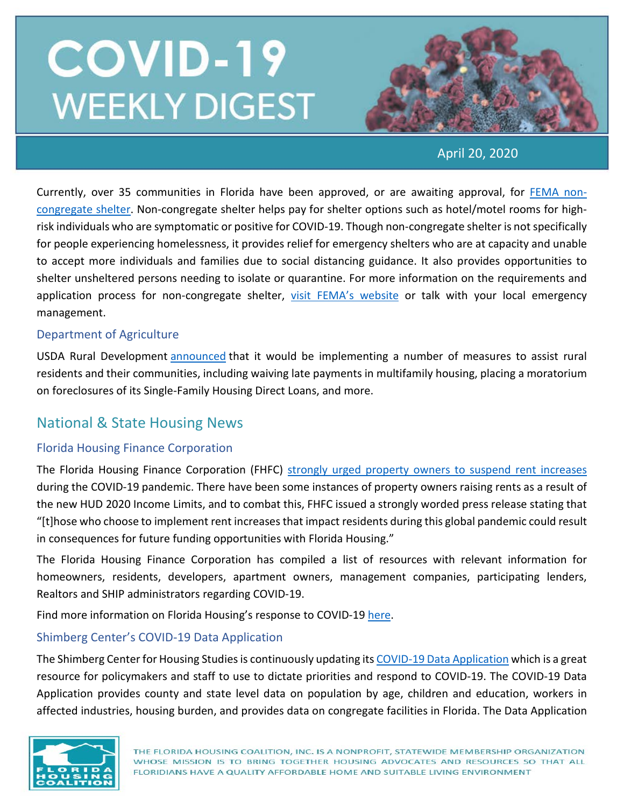

April 20, 2020

Currently, over 35 communities in Florida have been approved, or are awaiting approval, for [FEMA non](https://www.fema.gov/news-release/2020/03/19/public-assistance-non-congregate-sheltering-delegation-authority)[congregate shelter.](https://www.fema.gov/news-release/2020/03/19/public-assistance-non-congregate-sheltering-delegation-authority) Non-congregate shelter helps pay for shelter options such as hotel/motel rooms for highrisk individuals who are symptomatic or positive for COVID-19. Though non-congregate shelter is not specifically for people experiencing homelessness, it provides relief for emergency shelters who are at capacity and unable to accept more individuals and families due to social distancing guidance. It also provides opportunities to shelter unsheltered persons needing to isolate or quarantine. For more information on the requirements and application process for non-congregate shelter, [visit FEMA's website](https://www.fema.gov/news-release/2020/03/19/public-assistance-non-congregate-sheltering-delegation-authority) or talk with your local emergency management.

#### Department of Agriculture

USDA Rural Development [announced](https://www.rd.usda.gov/sites/default/files/USDA_RD_SA_COVID19_ProgramImmediateActions.pdf) that it would be implementing a number of measures to assist rural residents and their communities, including waiving late payments in multifamily housing, placing a moratorium on foreclosures of its Single-Family Housing Direct Loans, and more.

### National & State Housing News

### Florida Housing Finance Corporation

The Florida Housing Finance Corporation (FHFC) [strongly urged property owners to suspend rent increases](https://www.floridahousing.org/press/press-releases/releases/2020/2020/04/21/press-releases/florida-housing-finance-corporation-urges-property-owners-to-suspend-rent-increases-during-covid-19-pandemic) during the COVID-19 pandemic. There have been some instances of property owners raising rents as a result of the new HUD 2020 Income Limits, and to combat this, FHFC issued a strongly worded press release stating that "[t]hose who choose to implement rent increases that impact residents during this global pandemic could result in consequences for future funding opportunities with Florida Housing."

The Florida Housing Finance Corporation has compiled a list of resources with relevant information for homeowners, residents, developers, apartment owners, management companies, participating lenders, Realtors and SHIP administrators regarding COVID-19.

Find more information on Florida Housing's response to COVID-19 [here.](https://lnks.gd/l/eyJhbGciOiJIUzI1NiJ9.eyJidWxsZXRpbl9saW5rX2lkIjoxNTIsInVyaSI6ImJwMjpjbGljayIsImJ1bGxldGluX2lkIjoiMjAyMDA0MTkuMjAzNTg3NzEiLCJ1cmwiOiJodHRwczovL2xua3MuZ2QvbC9leUpoYkdjaU9pSklVekkxTmlKOS5leUppZFd4c1pYUnBibDlzYVc1clgybGtJam94TmpZc0luVnlhU0k2SW1Kd01qcGpiR2xqYXlJc0ltSjFiR3hsZEdsdVgybGtJam9pTWpBeU1EQTBNVGd1TWpBek16STNPREVpTENKMWNtd2lPaUpvZEhSd2N6b3ZMM2QzZHk1bWJHOXlhV1JoYUc5MWMybHVaeTV2Y21jdllXSnZkWFF0Wm14dmNtbGtZUzFvYjNWemFXNW5MMk52ZG1sa0xURTVMV2x1Wm05eWJXRjBhVzl1TFdGdVpDMXlaWE52ZFhKalpYTWlmUS54eFRmbnRpcUpYak9GUlVkSWpGdlZaay03aVlndGdQd0RLSjFGQUlHMFdzL2JyLzc3NTg0MTE2OTk0LWwifQ.0nwdluHYvuIcuAJMikGJw-OFR2cGPw74S98_63Da4Nc/br/77596542240-l)

### Shimberg Center's COVID-19 Data Application

The Shimberg Center for Housing Studies is continuously updating it[s COVID-19 Data Application](http://www.shimberg.ufl.edu/covid-19) which is a great resource for policymakers and staff to use to dictate priorities and respond to COVID-19. The COVID-19 Data Application provides county and state level data on population by age, children and education, workers in affected industries, housing burden, and provides data on congregate facilities in Florida. The Data Application

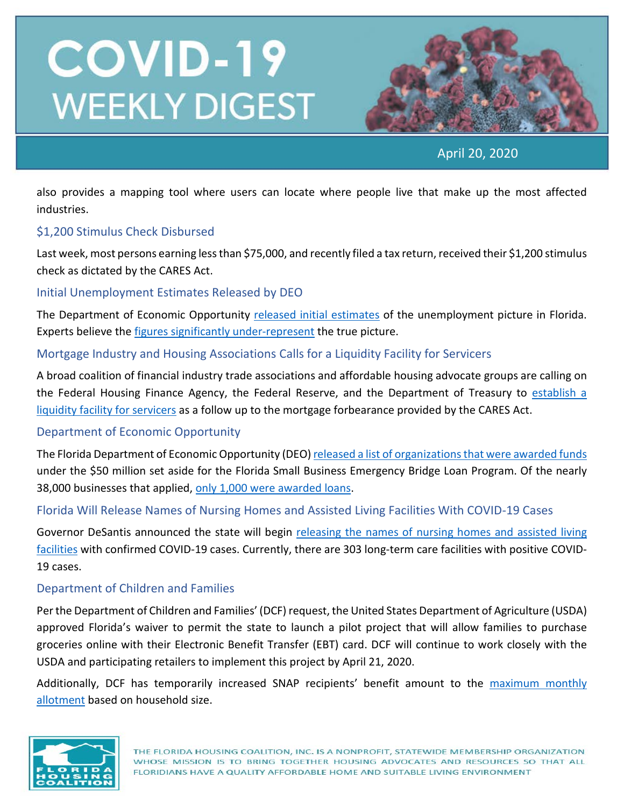

April 20, 2020

also provides a mapping tool where users can locate where people live that make up the most affected industries.

#### \$1,200 Stimulus Check Disbursed

Last week, most persons earning less than \$75,000, and recently filed a tax return, received their \$1,200 stimulus check as dictated by the CARES Act.

#### Initial Unemployment Estimates Released by DEO

The Department of Economic Opportunity [released initial estimates](http://floridajobs.org/workforce-statistics/workforce-statistics-data-releases/latest-statistics) of the unemployment picture in Florida. Experts believe the [figures significantly under-represent](https://www.miamiherald.com/news/business/article242065601.html) the true picture.

#### Mortgage Industry and Housing Associations Calls for a Liquidity Facility for Servicers

A broad coalition of financial industry trade associations and affordable housing advocate groups are calling on the Federal Housing Finance Agency, the Federal Reserve, and the Department of Treasury to [establish a](https://www.housingwire.com/articles/broad-coalition-of-mortgage-industry-and-housing-associations-call-for-liquidity-facility-for-servicers/)  [liquidity facility for servicers](https://www.housingwire.com/articles/broad-coalition-of-mortgage-industry-and-housing-associations-call-for-liquidity-facility-for-servicers/) as a follow up to the mortgage forbearance provided by the CARES Act.

#### Department of Economic Opportunity

The Florida Department of Economic Opportunity (DEO[\) released a list of organizations that were awarded funds](https://docs.google.com/spreadsheets/d/1A6VY-TlXklfxwYAaJesVsr2ndg8RN6LlVqgv88dhUAI/htmlview) under the \$50 million set aside for the Florida Small Business Emergency Bridge Loan Program. Of the nearly 38,000 businesses that applied, [only 1,000 were awarded loans.](https://floridapolitics.com/archives/328162-states-bridge-loan-money-runs-out-1000-businesses-get-it-37000-dont)

Florida Will Release Names of Nursing Homes and Assisted Living Facilities With COVID-19 Cases

Governor DeSantis announced the state will begin [releasing the names of nursing homes and assisted living](https://wusfnews.wusf.usf.edu/post/florida-releases-names-nursing-homes-covid-19)  [facilities](https://wusfnews.wusf.usf.edu/post/florida-releases-names-nursing-homes-covid-19) with confirmed COVID-19 cases. Currently, there are 303 long-term care facilities with positive COVID-19 cases.

#### Department of Children and Families

Per the Department of Children and Families' (DCF) request, the United States Department of Agriculture (USDA) approved Florida's waiver to permit the state to launch a pilot project that will allow families to purchase groceries online with their Electronic Benefit Transfer (EBT) card. DCF will continue to work closely with the USDA and participating retailers to implement this project by April 21, 2020.

Additionally, DCF has temporarily increased SNAP recipients' benefit amount to the maximum monthly [allotment](https://www.myflfamilies.com/covid19/access.shtml) based on household size.

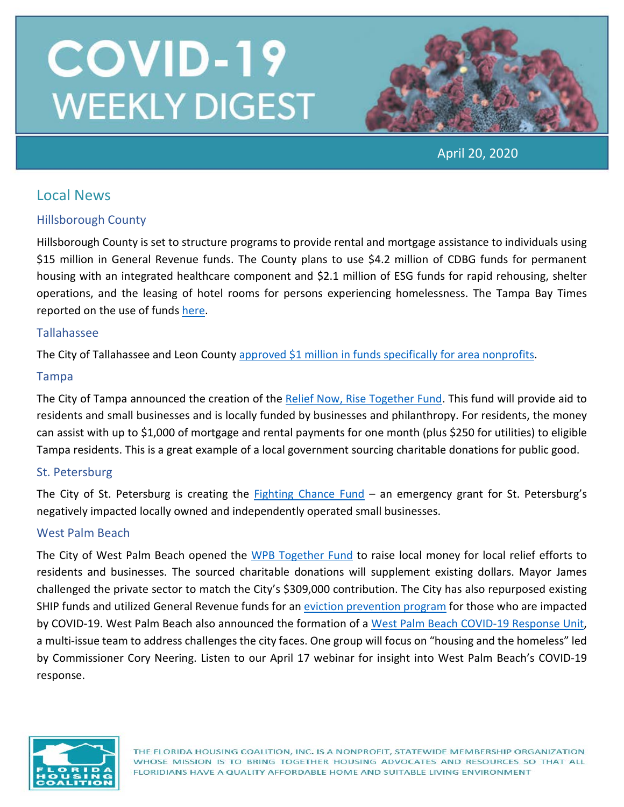

April 20, 2020

## Local News

### Hillsborough County

Hillsborough County is set to structure programs to provide rental and mortgage assistance to individuals using \$15 million in General Revenue funds. The County plans to use \$4.2 million of CDBG funds for permanent housing with an integrated healthcare component and \$2.1 million of ESG funds for rapid rehousing, shelter operations, and the leasing of hotel rooms for persons experiencing homelessness. The Tampa Bay Times reported on the use of fund[s here.](https://www.tampabay.com/news/health/2020/04/20/hillsborough-expands-aid-to-needy-with-15-million-in-rapid-recovery-dollars/)

### Tallahassee

The City of Tallahassee and Leon County approved \$1 million in [funds specifically for area nonprofits.](https://www.wtxl.com/news/local-news/tallahassee-leon-county-commissioners-approve-1-million-in-funds-for-nonprofits)

#### Tampa

The City of Tampa announced the creation of the [Relief Now, Rise Together Fund.](https://www.tampagov.net/relief-now) This fund will provide aid to residents and small businesses and is locally funded by businesses and philanthropy. For residents, the money can assist with up to \$1,000 of mortgage and rental payments for one month (plus \$250 for utilities) to eligible Tampa residents. This is a great example of a local government sourcing charitable donations for public good.

#### St. Petersburg

The City of St. Petersburg is creating the [Fighting Chance Fund](http://www.stpete.org/assistance/fighting_chance_fund.php) – an emergency grant for St. Petersburg's negatively impacted locally owned and independently operated small businesses.

#### West Palm Beach

The City of West Palm Beach opened the WPB [Together Fund](https://www.wpb.org/Home/Components/News/News/237/16) to raise local money for local relief efforts to residents and businesses. The sourced charitable donations will supplement existing dollars. Mayor James challenged the private sector to match the City's \$309,000 contribution. The City has also repurposed existing SHIP funds and utilized General Revenue funds for an [eviction prevention program](https://www.wpb.org/our-city/mayor-s-office/covid-19-updates-and-information/covid-19-rental-eviction-protection-program) for those who are impacted by COVID-19. West Palm Beach also announced the formation of a [West Palm Beach COVID-19 Response Unit,](https://www.palmbeachpost.com/news/20200327/coronavirus-florida-west-palm-forms-covid-19-response-team-of-7-groups) a multi-issue team to address challenges the city faces. One group will focus on "housing and the homeless" led by Commissioner Cory Neering. Listen to our April 17 webinar for insight into West Palm Beach's COVID-19 response.

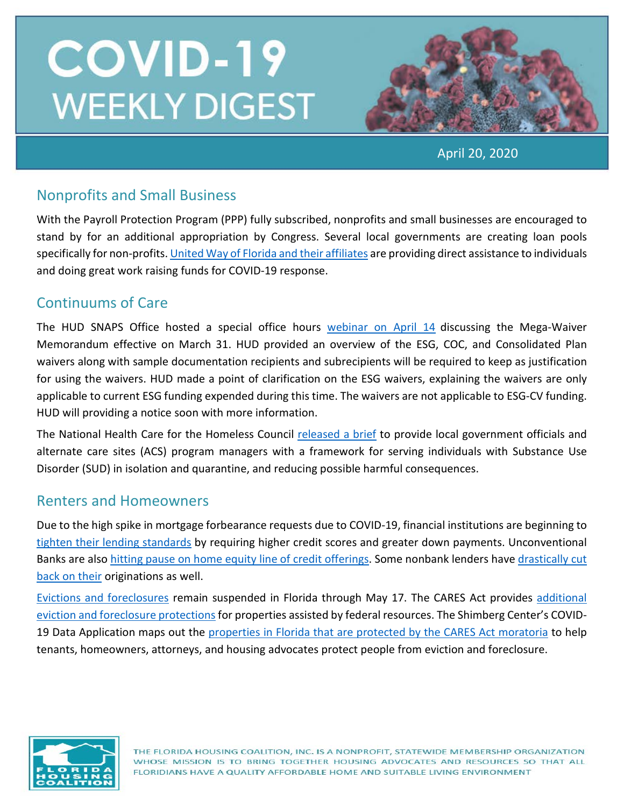

April 20, 2020

## Nonprofits and Small Business

With the Payroll Protection Program (PPP) fully subscribed, nonprofits and small businesses are encouraged to stand by for an additional appropriation by Congress. Several local governments are creating loan pools specifically for non-profits. [United Way of Florida and their affiliates](https://www.uwof.org/) are providing direct assistance to individuals and doing great work raising funds for COVID-19 response.

## Continuums of Care

The HUD SNAPS Office hosted a special office hours [webinar on April 14](https://www.hudexchange.info/trainings/courses/covid-19-planning-response-office-hours-mega-waiver-and-cares-act/) discussing the Mega-Waiver Memorandum effective on March 31. HUD provided an overview of the ESG, COC, and Consolidated Plan waivers along with sample documentation recipients and subrecipients will be required to keep as justification for using the waivers. HUD made a point of clarification on the ESG waivers, explaining the waivers are only applicable to current ESG funding expended during this time. The waivers are not applicable to ESG-CV funding. HUD will providing a notice soon with more information.

The National Health Care for the Homeless Council [released a brief](https://nhchc.org/wp-content/uploads/2020/04/Reducing-Harm-During-COVID-19-for-People-Using-Drugs-at-ACS1.pdf) to provide local government officials and alternate care sites (ACS) program managers with a framework for serving individuals with Substance Use Disorder (SUD) in isolation and quarantine, and reducing possible harmful consequences.

### Renters and Homeowners

Due to the high spike in mortgage forbearance requests due to COVID-19, financial institutions are beginning to [tighten their lending standards](https://qz.com/1838732/coronavirus-prompts-higher-credit-scores-for-new-mortgages/) by requiring higher credit scores and greater down payments. Unconventional Banks are also [hitting pause on home equity line of credit offerings.](https://therealdeal.com/2020/04/16/jpmorgan-takes-another-step-back-from-mortgage-lending-to-focus-on-refis/) Some nonbank lenders have drastically cut [back on their](https://therealdeal.com/2020/04/01/mortgage-market-dries-up-for-unconventional-home-loans/) originations as well.

[Evictions and foreclosures](https://www.flgov.com/wp-content/uploads/orders/2020/EO_20-94.pdf) remain suspended in Florida through May 17. The CARES Act provides [additional](https://www.nhlp.org/wp-content/uploads/2020.03.27-NHLP-CARES-Act-Eviction-Moratorium-Summary.pdf)  [eviction and foreclosure protections](https://www.nhlp.org/wp-content/uploads/2020.03.27-NHLP-CARES-Act-Eviction-Moratorium-Summary.pdf) for properties assisted by federal resources. The Shimberg Center's COVID19 Data Application maps out the properties in Florida [that are protected by the CARES Act moratoria](http://www.shimberg.ufl.edu/covid-19) to help tenants, homeowners, attorneys, and housing advocates protect people from eviction and foreclosure.